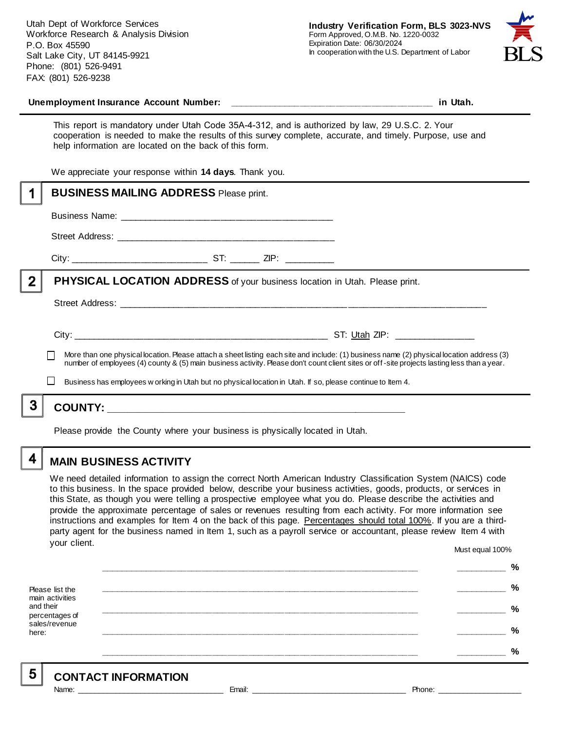Utah Dept of Workforce Services Workforce Research & Analysis Division P.O. Box 45590 Salt Lake City, UT 84145-9921 Phone: (801) 526-9491 FAX: (801) 526-9238



### **Unemployment Insurance Account Number: \_\_\_\_\_\_\_\_\_\_\_\_\_\_\_\_\_\_\_\_\_\_\_\_\_\_\_\_\_\_\_\_\_\_\_\_\_\_\_\_ in Utah.**

This report is mandatory under Utah Code 35A-4-312, and is authorized by law, 29 U.S.C. 2. Your cooperation is needed to make the results of this survey complete, accurate, and timely. Purpose, use and help information are located on the back of this form.

We appreciate your response within **14 days**. Thank you.

|   | <b>BUSINESS MAILING ADDRESS Please print.</b>                                                                                                                                                                                                                                            |
|---|------------------------------------------------------------------------------------------------------------------------------------------------------------------------------------------------------------------------------------------------------------------------------------------|
|   |                                                                                                                                                                                                                                                                                          |
|   |                                                                                                                                                                                                                                                                                          |
|   |                                                                                                                                                                                                                                                                                          |
| 2 | <b>PHYSICAL LOCATION ADDRESS</b> of your business location in Utah. Please print.                                                                                                                                                                                                        |
|   |                                                                                                                                                                                                                                                                                          |
|   |                                                                                                                                                                                                                                                                                          |
|   | More than one physical location. Please attach a sheet listing each site and include: (1) business name (2) physical location address (3)<br>number of employees (4) county & (5) main business activity. Please don't count client sites or off-site projects lasting less than a year. |
|   | Business has employees w orking in Utah but no physical location in Utah. If so, please continue to Item 4.                                                                                                                                                                              |
| 3 |                                                                                                                                                                                                                                                                                          |
|   | Please provide the County where your business is physically located in Utah.                                                                                                                                                                                                             |

**MAIN BUSINESS ACTIVITY**

We need detailed information to assign the correct North American Industry Classification System (NAICS) code to this business. In the space provided below, describe your business activities, goods, products, or services in this State, as though you were telling a prospective employee what you do. Please describe the activities and provide the approximate percentage of sales or revenues resulting from each activity. For more information see instructions and examples for Item 4 on the back of this page. Percentages should total 100%. If you are a thirdparty agent for the business named in Item 1, such as a payroll service or accountant, please review Item 4 with your client. Must equal 100%

Please list the main activities and their percentages of sales/revenue here: **\_\_\_\_\_\_\_\_\_\_\_\_\_\_\_\_\_\_\_\_\_\_\_\_\_\_\_\_\_\_\_\_\_\_\_\_\_\_\_\_\_\_\_\_\_\_\_\_\_\_\_\_\_\_\_\_\_\_\_\_\_\_ \_\_\_\_\_\_\_\_\_\_ % \_\_\_\_\_\_\_\_\_\_\_\_\_\_\_\_\_\_\_\_\_\_\_\_\_\_\_\_\_\_\_\_\_\_\_\_\_\_\_\_\_\_\_\_\_\_\_\_\_\_\_\_\_\_\_\_\_\_\_\_\_\_ \_\_\_\_\_\_\_\_\_\_ % \_\_\_\_\_\_\_\_\_\_\_\_\_\_\_\_\_\_\_\_\_\_\_\_\_\_\_\_\_\_\_\_\_\_\_\_\_\_\_\_\_\_\_\_\_\_\_\_\_\_\_\_\_\_\_\_\_\_\_\_\_\_ \_\_\_\_\_\_\_\_\_\_ % \_\_\_\_\_\_\_\_\_\_\_\_\_\_\_\_\_\_\_\_\_\_\_\_\_\_\_\_\_\_\_\_\_\_\_\_\_\_\_\_\_\_\_\_\_\_\_\_\_\_\_\_\_\_\_\_\_\_\_\_\_\_ \_\_\_\_\_\_\_\_\_\_ % \_\_\_\_\_\_\_\_\_\_\_\_\_\_\_\_\_\_\_\_\_\_\_\_\_\_\_\_\_\_\_\_\_\_\_\_\_\_\_\_\_\_\_\_\_\_\_\_\_\_\_\_\_\_\_\_\_\_\_\_\_\_ \_\_\_\_\_\_\_\_\_\_ %**

5

4